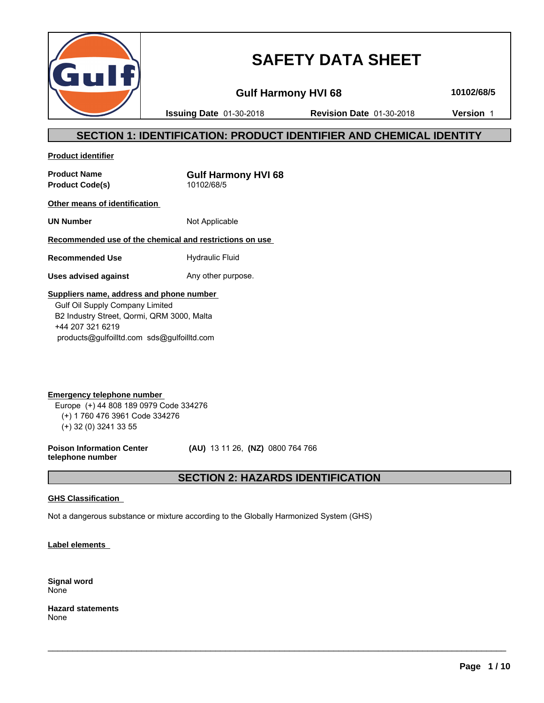

# **SAFETY DATA SHEET**

**Gulf Harmony HVI 68 10102/68/5**

**Issuing Date** 01-30-2018 **Revision Date** 01-30-2018 **Version** 1

# **SECTION 1: IDENTIFICATION: PRODUCT IDENTIFIER AND CHEMICAL IDENTITY**

**Product identifier**

**Product Name**<br> **Product Code(s)**<br> **Product Code(s)**<br> **CODEC 10102/68/5 Product Code(s)** 

**Other means of identification** 

**UN Number** Not Applicable

**Recommended use of the chemical and restrictions on use** 

**Recommended Use Hydraulic Fluid** 

**Uses advised against** Any other purpose.

# **Suppliers name, address and phone number**

 Gulf Oil Supply Company Limited B2 Industry Street, Qormi, QRM 3000, Malta +44 207 321 6219 products@gulfoilltd.com sds@gulfoilltd.com

**Emergency telephone number**  Europe (+) 44 808 189 0979 Code 334276 (+) 1 760 476 3961 Code 334276 (+) 32 (0) 3241 33 55

**Poison Information Center telephone number**

 **(AU)** 13 11 26, **(NZ)** 0800 764 766

# **SECTION 2: HAZARDS IDENTIFICATION**

 $\_$  ,  $\_$  ,  $\_$  ,  $\_$  ,  $\_$  ,  $\_$  ,  $\_$  ,  $\_$  ,  $\_$  ,  $\_$  ,  $\_$  ,  $\_$  ,  $\_$  ,  $\_$  ,  $\_$  ,  $\_$  ,  $\_$  ,  $\_$  ,  $\_$  ,  $\_$  ,  $\_$  ,  $\_$  ,  $\_$  ,  $\_$  ,  $\_$  ,  $\_$  ,  $\_$  ,  $\_$  ,  $\_$  ,  $\_$  ,  $\_$  ,  $\_$  ,  $\_$  ,  $\_$  ,  $\_$  ,  $\_$  ,  $\_$  ,

### **GHS Classification**

Not a dangerous substance or mixture according to the Globally Harmonized System (GHS)

**Label elements** 

**Signal word** None

**Hazard statements** None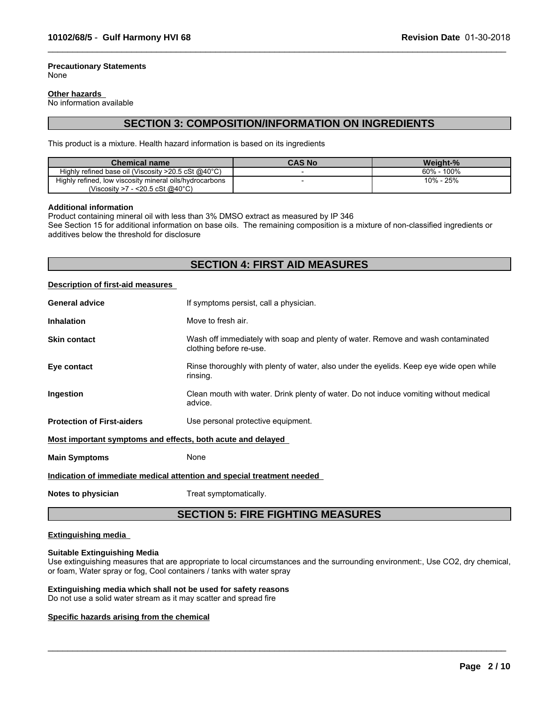#### **Precautionary Statements** None

#### **Other hazards**

No information available

# **SECTION 3: COMPOSITION/INFORMATION ON INGREDIENTS**

 $\_$  ,  $\_$  ,  $\_$  ,  $\_$  ,  $\_$  ,  $\_$  ,  $\_$  ,  $\_$  ,  $\_$  ,  $\_$  ,  $\_$  ,  $\_$  ,  $\_$  ,  $\_$  ,  $\_$  ,  $\_$  ,  $\_$  ,  $\_$  ,  $\_$  ,  $\_$  ,  $\_$  ,  $\_$  ,  $\_$  ,  $\_$  ,  $\_$  ,  $\_$  ,  $\_$  ,  $\_$  ,  $\_$  ,  $\_$  ,  $\_$  ,  $\_$  ,  $\_$  ,  $\_$  ,  $\_$  ,  $\_$  ,  $\_$  ,

This product is a mixture. Health hazard information is based on its ingredients

| <b>Chemical name</b>                                             | <b>CAS No</b> | Weight-%         |
|------------------------------------------------------------------|---------------|------------------|
| Highly refined base oil (Viscosity $>20.5$ cSt @40 $^{\circ}$ C) |               | 100%<br>$60\%$ - |
| Highly refined, low viscosity mineral oils/hydrocarbons          |               | 10% - 25%        |
| (Viscosity >7 - <20.5 cSt @40 $^{\circ}$ C)                      |               |                  |

#### **Additional information**

Product containing mineral oil with less than 3% DMSO extract as measured by IP 346

See Section 15 for additional information on base oils. The remaining composition is a mixture of non-classified ingredients or additives below the threshold for disclosure

# **SECTION 4: FIRST AID MEASURES**

#### **Description of first-aid measures**

| <b>General advice</b>                                                  | If symptoms persist, call a physician.                                                                      |  |  |
|------------------------------------------------------------------------|-------------------------------------------------------------------------------------------------------------|--|--|
| <b>Inhalation</b>                                                      | Move to fresh air.                                                                                          |  |  |
| <b>Skin contact</b>                                                    | Wash off immediately with soap and plenty of water. Remove and wash contaminated<br>clothing before re-use. |  |  |
| Eye contact                                                            | Rinse thoroughly with plenty of water, also under the eyelids. Keep eye wide open while<br>rinsing.         |  |  |
| Ingestion                                                              | Clean mouth with water. Drink plenty of water. Do not induce vomiting without medical<br>advice.            |  |  |
| <b>Protection of First-aiders</b>                                      | Use personal protective equipment.                                                                          |  |  |
| Most important symptoms and effects, both acute and delayed            |                                                                                                             |  |  |
| <b>Main Symptoms</b>                                                   | None                                                                                                        |  |  |
| Indication of immediate medical attention and special treatment needed |                                                                                                             |  |  |
|                                                                        |                                                                                                             |  |  |

**Notes to physician** Treat symptomatically.

# **SECTION 5: FIRE FIGHTING MEASURES**

#### **Extinguishing media**

#### **Suitable Extinguishing Media**

Use extinguishing measures that are appropriate to local circumstances and the surrounding environment:, Use CO2, dry chemical, or foam, Water spray or fog, Cool containers / tanks with water spray

 $\_$  ,  $\_$  ,  $\_$  ,  $\_$  ,  $\_$  ,  $\_$  ,  $\_$  ,  $\_$  ,  $\_$  ,  $\_$  ,  $\_$  ,  $\_$  ,  $\_$  ,  $\_$  ,  $\_$  ,  $\_$  ,  $\_$  ,  $\_$  ,  $\_$  ,  $\_$  ,  $\_$  ,  $\_$  ,  $\_$  ,  $\_$  ,  $\_$  ,  $\_$  ,  $\_$  ,  $\_$  ,  $\_$  ,  $\_$  ,  $\_$  ,  $\_$  ,  $\_$  ,  $\_$  ,  $\_$  ,  $\_$  ,  $\_$  ,

### **Extinguishing media which shall not be used for safety reasons**

Do not use a solid water stream as it may scatter and spread fire

#### **Specific hazards arising from the chemical**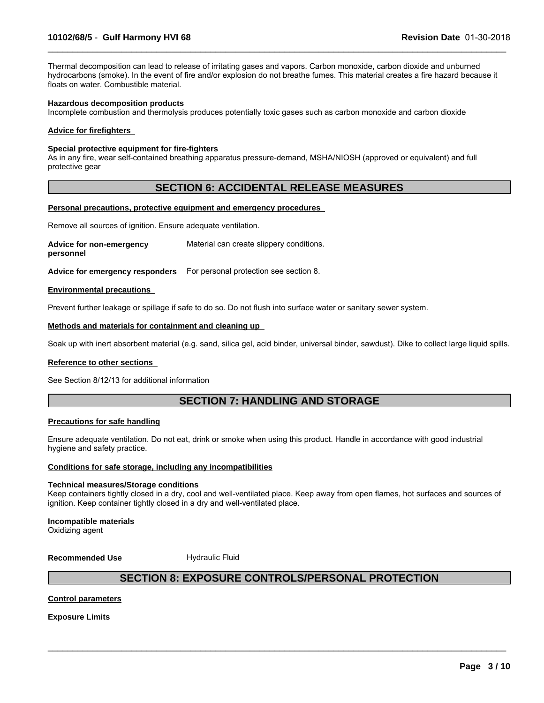Thermal decomposition can lead to release of irritating gases and vapors. Carbon monoxide, carbon dioxide and unburned hydrocarbons (smoke). In the event of fire and/or explosion do not breathe fumes. This material creates a fire hazard because it floats on water. Combustible material.

 $\_$  ,  $\_$  ,  $\_$  ,  $\_$  ,  $\_$  ,  $\_$  ,  $\_$  ,  $\_$  ,  $\_$  ,  $\_$  ,  $\_$  ,  $\_$  ,  $\_$  ,  $\_$  ,  $\_$  ,  $\_$  ,  $\_$  ,  $\_$  ,  $\_$  ,  $\_$  ,  $\_$  ,  $\_$  ,  $\_$  ,  $\_$  ,  $\_$  ,  $\_$  ,  $\_$  ,  $\_$  ,  $\_$  ,  $\_$  ,  $\_$  ,  $\_$  ,  $\_$  ,  $\_$  ,  $\_$  ,  $\_$  ,  $\_$  ,

#### **Hazardous decomposition products**

Incomplete combustion and thermolysis produces potentially toxic gases such as carbon monoxide and carbon dioxide

#### **Advice for firefighters**

#### **Special protective equipment for fire-fighters**

As in any fire, wear self-contained breathing apparatus pressure-demand, MSHA/NIOSH (approved or equivalent) and full protective gear

# **SECTION 6: ACCIDENTAL RELEASE MEASURES**

#### **Personal precautions, protective equipment and emergency procedures**

Remove all sources of ignition. Ensure adequate ventilation.

**Advice for non-emergency personnel** Material can create slippery conditions.

**Advice for emergency responders** For personal protection see section 8.

#### **Environmental precautions**

Prevent further leakage or spillage if safe to do so. Do not flush into surface water or sanitary sewer system.

#### **Methods and materials for containment and cleaning up**

Soak up with inert absorbent material (e.g. sand, silica gel, acid binder, universal binder, sawdust). Dike to collect large liquid spills.

#### **Reference to other sections**

See Section 8/12/13 for additional information

# **SECTION 7: HANDLING AND STORAGE**

#### **Precautions for safe handling**

Ensure adequate ventilation. Do not eat, drink or smoke when using this product. Handle in accordance with good industrial hygiene and safety practice.

#### **Conditions for safe storage, including any incompatibilities**

#### **Technical measures/Storage conditions**

Keep containers tightly closed in a dry, cool and well-ventilated place. Keep away from open flames, hot surfaces and sources of ignition. Keep container tightly closed in a dry and well-ventilated place.

#### **Incompatible materials**

Oxidizing agent

**Recommended Use** Hydraulic Fluid

# **SECTION 8: EXPOSURE CONTROLS/PERSONAL PROTECTION**

 $\_$  ,  $\_$  ,  $\_$  ,  $\_$  ,  $\_$  ,  $\_$  ,  $\_$  ,  $\_$  ,  $\_$  ,  $\_$  ,  $\_$  ,  $\_$  ,  $\_$  ,  $\_$  ,  $\_$  ,  $\_$  ,  $\_$  ,  $\_$  ,  $\_$  ,  $\_$  ,  $\_$  ,  $\_$  ,  $\_$  ,  $\_$  ,  $\_$  ,  $\_$  ,  $\_$  ,  $\_$  ,  $\_$  ,  $\_$  ,  $\_$  ,  $\_$  ,  $\_$  ,  $\_$  ,  $\_$  ,  $\_$  ,  $\_$  ,

#### **Control parameters**

**Exposure Limits**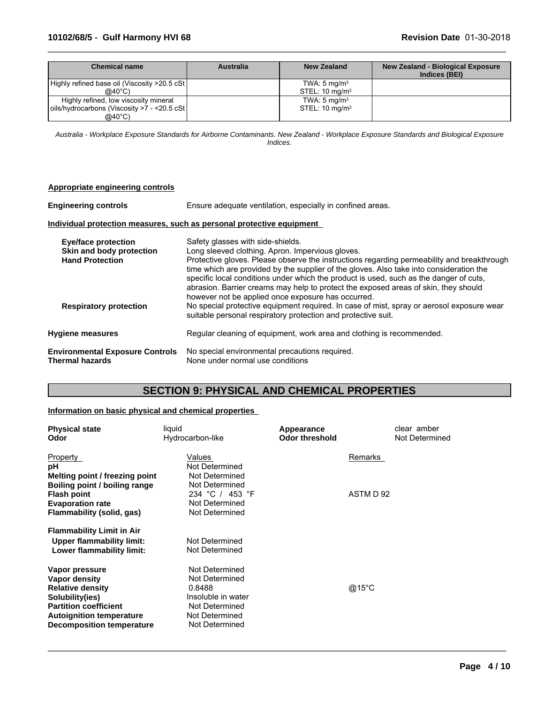# **10102/68/5** - **Gulf Harmony HVI 68 Revision Date** 01-30-2018

| Chemical name                                 | <b>Australia</b> | <b>New Zealand</b>        | <b>New Zealand - Biological Exposure</b><br>Indices (BEI) |
|-----------------------------------------------|------------------|---------------------------|-----------------------------------------------------------|
| Highly refined base oil (Viscosity >20.5 cSt) |                  | TWA: $5 \text{ mg/m}^3$   |                                                           |
| @40 $^{\circ}$ C)                             |                  | STEL: $10 \text{ mg/m}^3$ |                                                           |
| Highly refined, low viscosity mineral         |                  | TWA: $5 \text{ mg/m}^3$   |                                                           |
| oils/hydrocarbons (Viscosity >7 - <20.5 cSt   |                  | STEL: $10 \text{ mg/m}^3$ |                                                           |
| $@40^{\circ}$ C)                              |                  |                           |                                                           |

 $\_$  ,  $\_$  ,  $\_$  ,  $\_$  ,  $\_$  ,  $\_$  ,  $\_$  ,  $\_$  ,  $\_$  ,  $\_$  ,  $\_$  ,  $\_$  ,  $\_$  ,  $\_$  ,  $\_$  ,  $\_$  ,  $\_$  ,  $\_$  ,  $\_$  ,  $\_$  ,  $\_$  ,  $\_$  ,  $\_$  ,  $\_$  ,  $\_$  ,  $\_$  ,  $\_$  ,  $\_$  ,  $\_$  ,  $\_$  ,  $\_$  ,  $\_$  ,  $\_$  ,  $\_$  ,  $\_$  ,  $\_$  ,  $\_$  ,

*Australia - Workplace Exposure Standards for Airborne Contaminants. New Zealand - Workplace Exposure Standards and Biological Exposure Indices.*

| Appropriate engineering controls                                                 |                                                                                                                                                                                                                                                                                                                                                                                                                                                                 |
|----------------------------------------------------------------------------------|-----------------------------------------------------------------------------------------------------------------------------------------------------------------------------------------------------------------------------------------------------------------------------------------------------------------------------------------------------------------------------------------------------------------------------------------------------------------|
| <b>Engineering controls</b>                                                      | Ensure adequate ventilation, especially in confined areas.                                                                                                                                                                                                                                                                                                                                                                                                      |
|                                                                                  | Individual protection measures, such as personal protective equipment                                                                                                                                                                                                                                                                                                                                                                                           |
| <b>Eye/face protection</b><br>Skin and body protection<br><b>Hand Protection</b> | Safety glasses with side-shields.<br>Long sleeved clothing. Apron. Impervious gloves.<br>Protective gloves. Please observe the instructions regarding permeability and breakthrough<br>time which are provided by the supplier of the gloves. Also take into consideration the<br>specific local conditions under which the product is used, such as the danger of cuts,<br>abrasion. Barrier creams may help to protect the exposed areas of skin, they should |
| <b>Respiratory protection</b>                                                    | however not be applied once exposure has occurred.<br>No special protective equipment required. In case of mist, spray or aerosol exposure wear<br>suitable personal respiratory protection and protective suit.                                                                                                                                                                                                                                                |
| <b>Hygiene measures</b>                                                          | Regular cleaning of equipment, work area and clothing is recommended.                                                                                                                                                                                                                                                                                                                                                                                           |
| <b>Environmental Exposure Controls</b><br><b>Thermal hazards</b>                 | No special environmental precautions required.<br>None under normal use conditions                                                                                                                                                                                                                                                                                                                                                                              |

# **SECTION 9: PHYSICAL AND CHEMICAL PROPERTIES**

### **Information on basic physical and chemical properties**

| <b>Physical state</b><br>Odor    | liquid<br>Hydrocarbon-like | Appearance<br><b>Odor threshold</b> | clear amber<br>Not Determined |
|----------------------------------|----------------------------|-------------------------------------|-------------------------------|
| Property                         | Values                     |                                     | Remarks                       |
| рH                               | Not Determined             |                                     |                               |
| Melting point / freezing point   | Not Determined             |                                     |                               |
| Boiling point / boiling range    | Not Determined             |                                     |                               |
| <b>Flash point</b>               | 234 °C / 453 °F            |                                     | ASTM D 92                     |
| <b>Evaporation rate</b>          | Not Determined             |                                     |                               |
| Flammability (solid, gas)        | Not Determined             |                                     |                               |
| <b>Flammability Limit in Air</b> |                            |                                     |                               |
| Upper flammability limit:        | Not Determined             |                                     |                               |
| Lower flammability limit:        | Not Determined             |                                     |                               |
| Vapor pressure                   | Not Determined             |                                     |                               |
| Vapor density                    | Not Determined             |                                     |                               |
| <b>Relative density</b>          | 0.8488                     |                                     | @15°C                         |
| Solubility(ies)                  | Insoluble in water         |                                     |                               |
| <b>Partition coefficient</b>     | Not Determined             |                                     |                               |
| <b>Autoignition temperature</b>  | Not Determined             |                                     |                               |
| <b>Decomposition temperature</b> | Not Determined             |                                     |                               |

 $\_$  ,  $\_$  ,  $\_$  ,  $\_$  ,  $\_$  ,  $\_$  ,  $\_$  ,  $\_$  ,  $\_$  ,  $\_$  ,  $\_$  ,  $\_$  ,  $\_$  ,  $\_$  ,  $\_$  ,  $\_$  ,  $\_$  ,  $\_$  ,  $\_$  ,  $\_$  ,  $\_$  ,  $\_$  ,  $\_$  ,  $\_$  ,  $\_$  ,  $\_$  ,  $\_$  ,  $\_$  ,  $\_$  ,  $\_$  ,  $\_$  ,  $\_$  ,  $\_$  ,  $\_$  ,  $\_$  ,  $\_$  ,  $\_$  ,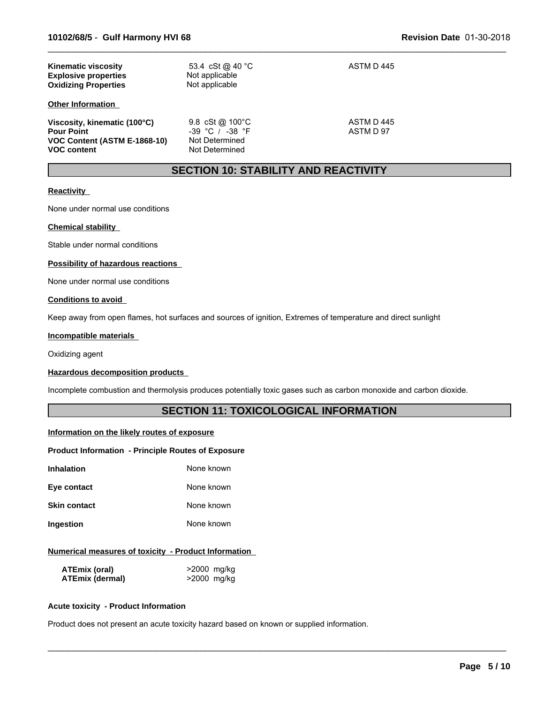| <b>Kinematic viscosity</b><br><b>Explosive properties</b><br><b>Oxidizing Properties</b>                | 53.4 cSt @ 40 °C<br>Not applicable<br>Not applicable                       | ASTM D 445              |
|---------------------------------------------------------------------------------------------------------|----------------------------------------------------------------------------|-------------------------|
| <b>Other Information</b>                                                                                |                                                                            |                         |
| Viscosity, kinematic (100°C)<br><b>Pour Point</b><br>VOC Content (ASTM E-1868-10)<br><b>VOC content</b> | 9.8 $cSt@100°C$<br>$-39$ °C / $-38$ °F<br>Not Determined<br>Not Determined | ASTM D 445<br>ASTM D 97 |

# **SECTION 10: STABILITY AND REACTIVITY**

 $\_$  ,  $\_$  ,  $\_$  ,  $\_$  ,  $\_$  ,  $\_$  ,  $\_$  ,  $\_$  ,  $\_$  ,  $\_$  ,  $\_$  ,  $\_$  ,  $\_$  ,  $\_$  ,  $\_$  ,  $\_$  ,  $\_$  ,  $\_$  ,  $\_$  ,  $\_$  ,  $\_$  ,  $\_$  ,  $\_$  ,  $\_$  ,  $\_$  ,  $\_$  ,  $\_$  ,  $\_$  ,  $\_$  ,  $\_$  ,  $\_$  ,  $\_$  ,  $\_$  ,  $\_$  ,  $\_$  ,  $\_$  ,  $\_$  ,

### **Reactivity**

None under normal use conditions

#### **Chemical stability**

Stable under normal conditions

#### **Possibility of hazardous reactions**

None under normal use conditions

#### **Conditions to avoid**

Keep away from open flames, hot surfaces and sources of ignition, Extremes of temperature and direct sunlight

#### **Incompatible materials**

Oxidizing agent

#### **Hazardous decomposition products**

Incomplete combustion and thermolysis produces potentially toxic gases such as carbon monoxide and carbon dioxide.

# **SECTION 11: TOXICOLOGICAL INFORMATION**

 $\_$  ,  $\_$  ,  $\_$  ,  $\_$  ,  $\_$  ,  $\_$  ,  $\_$  ,  $\_$  ,  $\_$  ,  $\_$  ,  $\_$  ,  $\_$  ,  $\_$  ,  $\_$  ,  $\_$  ,  $\_$  ,  $\_$  ,  $\_$  ,  $\_$  ,  $\_$  ,  $\_$  ,  $\_$  ,  $\_$  ,  $\_$  ,  $\_$  ,  $\_$  ,  $\_$  ,  $\_$  ,  $\_$  ,  $\_$  ,  $\_$  ,  $\_$  ,  $\_$  ,  $\_$  ,  $\_$  ,  $\_$  ,  $\_$  ,

#### **Information on the likely routes of exposure**

#### **Product Information - Principle Routes of Exposure**

| Inhalation   | None known |
|--------------|------------|
| Eye contact  | None known |
| Skin contact | None known |

# **Ingestion** None known

### **Numerical measures of toxicity - Product Information**

| ATEmix (oral)          | >2000 mg/kg |
|------------------------|-------------|
| <b>ATEmix (dermal)</b> | >2000 mg/kg |

#### **Acute toxicity - Product Information**

Product does not present an acute toxicity hazard based on known or supplied information.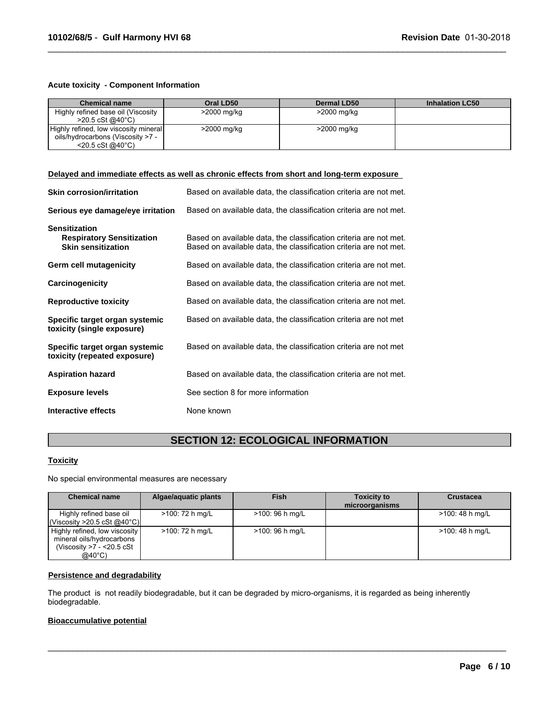#### **Acute toxicity - Component Information**

| <b>Chemical name</b>                  | Oral LD50   | <b>Dermal LD50</b> | <b>Inhalation LC50</b> |
|---------------------------------------|-------------|--------------------|------------------------|
| Highly refined base oil (Viscosity    | >2000 mg/kg | >2000 mg/kg        |                        |
| $>20.5 \text{ cSt}$ @ 40 °C)          |             |                    |                        |
| Highly refined, low viscosity mineral | >2000 mg/kg | >2000 mg/kg        |                        |
| oils/hydrocarbons (Viscosity >7 -     |             |                    |                        |
| $<$ 20.5 cSt @40 $^{\circ}$ C)        |             |                    |                        |

 $\_$  ,  $\_$  ,  $\_$  ,  $\_$  ,  $\_$  ,  $\_$  ,  $\_$  ,  $\_$  ,  $\_$  ,  $\_$  ,  $\_$  ,  $\_$  ,  $\_$  ,  $\_$  ,  $\_$  ,  $\_$  ,  $\_$  ,  $\_$  ,  $\_$  ,  $\_$  ,  $\_$  ,  $\_$  ,  $\_$  ,  $\_$  ,  $\_$  ,  $\_$  ,  $\_$  ,  $\_$  ,  $\_$  ,  $\_$  ,  $\_$  ,  $\_$  ,  $\_$  ,  $\_$  ,  $\_$  ,  $\_$  ,  $\_$  ,

#### **Delayed and immediate effects as well as chronic effects from short and long-term exposure**

| <b>Skin corrosion/irritation</b>                                                      | Based on available data, the classification criteria are not met.                                                                      |
|---------------------------------------------------------------------------------------|----------------------------------------------------------------------------------------------------------------------------------------|
| Serious eye damage/eye irritation                                                     | Based on available data, the classification criteria are not met.                                                                      |
| <b>Sensitization</b><br><b>Respiratory Sensitization</b><br><b>Skin sensitization</b> | Based on available data, the classification criteria are not met.<br>Based on available data, the classification criteria are not met. |
| Germ cell mutagenicity                                                                | Based on available data, the classification criteria are not met.                                                                      |
| Carcinogenicity                                                                       | Based on available data, the classification criteria are not met.                                                                      |
| <b>Reproductive toxicity</b>                                                          | Based on available data, the classification criteria are not met.                                                                      |
| Specific target organ systemic<br>toxicity (single exposure)                          | Based on available data, the classification criteria are not met                                                                       |
| Specific target organ systemic<br>toxicity (repeated exposure)                        | Based on available data, the classification criteria are not met                                                                       |
| <b>Aspiration hazard</b>                                                              | Based on available data, the classification criteria are not met.                                                                      |
| <b>Exposure levels</b>                                                                | See section 8 for more information                                                                                                     |
| Interactive effects                                                                   | None known                                                                                                                             |

# **SECTION 12: ECOLOGICAL INFORMATION**

# **Toxicity**

No special environmental measures are necessary

| <b>Chemical name</b>                                                                                         | Algae/aquatic plants | <b>Fish</b>      | <b>Toxicity to</b><br>microorganisms | <b>Crustacea</b> |
|--------------------------------------------------------------------------------------------------------------|----------------------|------------------|--------------------------------------|------------------|
| Highly refined base oil<br>l(Viscosity >20.5 cSt @40°C)l                                                     | >100: 72 h mg/L      | $>100:96$ h mg/L |                                      | >100: 48 h mg/L  |
| Highly refined, low viscosity<br>mineral oils/hydrocarbons<br>(Viscosity $>7 - 20.5$ cSt<br>$@40^{\circ}$ C) | >100: 72 h mg/L      | $>100:96$ h mg/L |                                      | >100: 48 h mg/L  |

 $\_$  ,  $\_$  ,  $\_$  ,  $\_$  ,  $\_$  ,  $\_$  ,  $\_$  ,  $\_$  ,  $\_$  ,  $\_$  ,  $\_$  ,  $\_$  ,  $\_$  ,  $\_$  ,  $\_$  ,  $\_$  ,  $\_$  ,  $\_$  ,  $\_$  ,  $\_$  ,  $\_$  ,  $\_$  ,  $\_$  ,  $\_$  ,  $\_$  ,  $\_$  ,  $\_$  ,  $\_$  ,  $\_$  ,  $\_$  ,  $\_$  ,  $\_$  ,  $\_$  ,  $\_$  ,  $\_$  ,  $\_$  ,  $\_$  ,

#### **Persistence and degradability**

The product is not readily biodegradable, but it can be degraded by micro-organisms, it is regarded as being inherently biodegradable.

# **Bioaccumulative potential**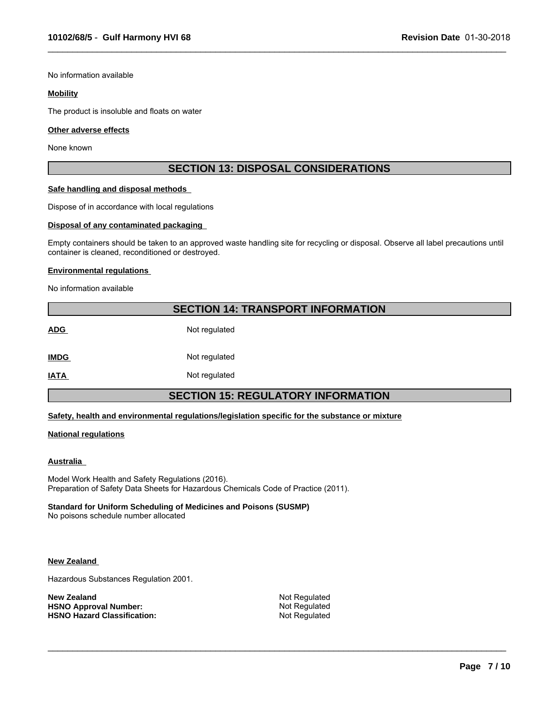No information available

#### **Mobility**

The product is insoluble and floats on water

#### **Other adverse effects**

None known

# **SECTION 13: DISPOSAL CONSIDERATIONS**

 $\_$  ,  $\_$  ,  $\_$  ,  $\_$  ,  $\_$  ,  $\_$  ,  $\_$  ,  $\_$  ,  $\_$  ,  $\_$  ,  $\_$  ,  $\_$  ,  $\_$  ,  $\_$  ,  $\_$  ,  $\_$  ,  $\_$  ,  $\_$  ,  $\_$  ,  $\_$  ,  $\_$  ,  $\_$  ,  $\_$  ,  $\_$  ,  $\_$  ,  $\_$  ,  $\_$  ,  $\_$  ,  $\_$  ,  $\_$  ,  $\_$  ,  $\_$  ,  $\_$  ,  $\_$  ,  $\_$  ,  $\_$  ,  $\_$  ,

#### **Safe handling and disposal methods**

Dispose of in accordance with local regulations

#### **Disposal of any contaminated packaging**

Empty containers should be taken to an approved waste handling site for recycling or disposal. Observe all label precautions until container is cleaned, reconditioned or destroyed.

#### **Environmental regulations**

No information available

# **SECTION 14: TRANSPORT INFORMATION**

ADG Not regulated **IMDG** Not regulated

**IATA** Not regulated

# **SECTION 15: REGULATORY INFORMATION**

#### **Safety, health and environmental regulations/legislation specific for the substance or mixture**

#### **National regulations**

#### **Australia**

Model Work Health and Safety Regulations (2016). Preparation of Safety Data Sheets for Hazardous Chemicals Code of Practice (2011).

#### **Standard for Uniform Scheduling of Medicines and Poisons (SUSMP)**

No poisons schedule number allocated

#### **New Zealand**

Hazardous Substances Regulation 2001.

**New Zealand** Not Regulated<br> **HSNO Approval Number:** Not Regulated Not Regulated **HSNO Approval Number:** Not Regulated<br> **HSNO Hazard Classification:** Not Regulated **HSNO Hazard Classification:** 

 $\_$  ,  $\_$  ,  $\_$  ,  $\_$  ,  $\_$  ,  $\_$  ,  $\_$  ,  $\_$  ,  $\_$  ,  $\_$  ,  $\_$  ,  $\_$  ,  $\_$  ,  $\_$  ,  $\_$  ,  $\_$  ,  $\_$  ,  $\_$  ,  $\_$  ,  $\_$  ,  $\_$  ,  $\_$  ,  $\_$  ,  $\_$  ,  $\_$  ,  $\_$  ,  $\_$  ,  $\_$  ,  $\_$  ,  $\_$  ,  $\_$  ,  $\_$  ,  $\_$  ,  $\_$  ,  $\_$  ,  $\_$  ,  $\_$  ,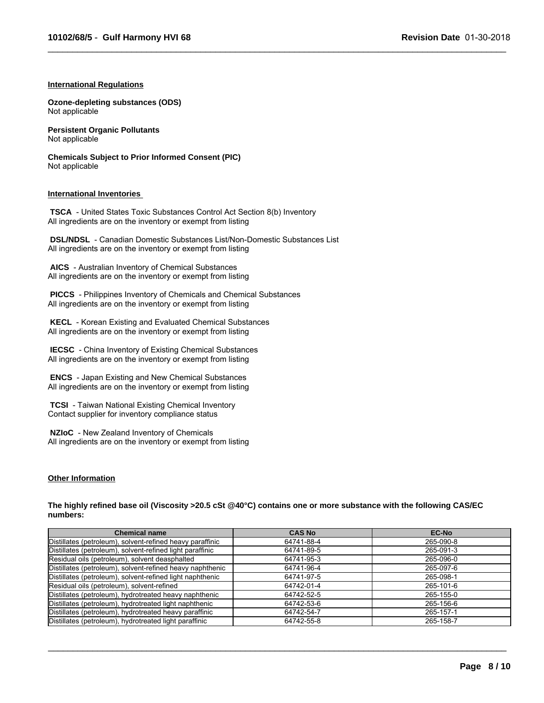$\_$  ,  $\_$  ,  $\_$  ,  $\_$  ,  $\_$  ,  $\_$  ,  $\_$  ,  $\_$  ,  $\_$  ,  $\_$  ,  $\_$  ,  $\_$  ,  $\_$  ,  $\_$  ,  $\_$  ,  $\_$  ,  $\_$  ,  $\_$  ,  $\_$  ,  $\_$  ,  $\_$  ,  $\_$  ,  $\_$  ,  $\_$  ,  $\_$  ,  $\_$  ,  $\_$  ,  $\_$  ,  $\_$  ,  $\_$  ,  $\_$  ,  $\_$  ,  $\_$  ,  $\_$  ,  $\_$  ,  $\_$  ,  $\_$  ,

#### **International Regulations**

**Ozone-depleting substances (ODS)** Not applicable

**Persistent Organic Pollutants** Not applicable

**Chemicals Subject to Prior Informed Consent (PIC)** Not applicable

#### **International Inventories**

 **TSCA** - United States Toxic Substances Control Act Section 8(b) Inventory All ingredients are on the inventory or exempt from listing

 **DSL/NDSL** - Canadian Domestic Substances List/Non-Domestic Substances List All ingredients are on the inventory or exempt from listing

 **AICS** - Australian Inventory of Chemical Substances All ingredients are on the inventory or exempt from listing

 **PICCS** - Philippines Inventory of Chemicals and Chemical Substances All ingredients are on the inventory or exempt from listing

 **KECL** - Korean Existing and Evaluated Chemical Substances All ingredients are on the inventory or exempt from listing

 **IECSC** - China Inventory of Existing Chemical Substances All ingredients are on the inventory or exempt from listing

 **ENCS** - Japan Existing and New Chemical Substances All ingredients are on the inventory or exempt from listing

 **TCSI** - Taiwan National Existing Chemical Inventory Contact supplier for inventory compliance status

 **NZIoC** - New Zealand Inventory of Chemicals All ingredients are on the inventory or exempt from listing

#### **Other Information**

**The highly refined base oil (Viscosity >20.5 cSt @40°C) contains one or more substance with the following CAS/EC numbers:**

| <b>Chemical name</b>                                      | <b>CAS No</b> | <b>EC-No</b> |
|-----------------------------------------------------------|---------------|--------------|
| Distillates (petroleum), solvent-refined heavy paraffinic | 64741-88-4    | 265-090-8    |
| Distillates (petroleum), solvent-refined light paraffinic | 64741-89-5    | 265-091-3    |
| Residual oils (petroleum), solvent deasphalted            | 64741-95-3    | 265-096-0    |
| Distillates (petroleum), solvent-refined heavy naphthenic | 64741-96-4    | 265-097-6    |
| Distillates (petroleum), solvent-refined light naphthenic | 64741-97-5    | 265-098-1    |
| Residual oils (petroleum), solvent-refined                | 64742-01-4    | 265-101-6    |
| Distillates (petroleum), hydrotreated heavy naphthenic    | 64742-52-5    | 265-155-0    |
| Distillates (petroleum), hydrotreated light naphthenic    | 64742-53-6    | 265-156-6    |
| Distillates (petroleum), hydrotreated heavy paraffinic    | 64742-54-7    | 265-157-1    |
| Distillates (petroleum), hydrotreated light paraffinic    | 64742-55-8    | 265-158-7    |

 $\_$  ,  $\_$  ,  $\_$  ,  $\_$  ,  $\_$  ,  $\_$  ,  $\_$  ,  $\_$  ,  $\_$  ,  $\_$  ,  $\_$  ,  $\_$  ,  $\_$  ,  $\_$  ,  $\_$  ,  $\_$  ,  $\_$  ,  $\_$  ,  $\_$  ,  $\_$  ,  $\_$  ,  $\_$  ,  $\_$  ,  $\_$  ,  $\_$  ,  $\_$  ,  $\_$  ,  $\_$  ,  $\_$  ,  $\_$  ,  $\_$  ,  $\_$  ,  $\_$  ,  $\_$  ,  $\_$  ,  $\_$  ,  $\_$  ,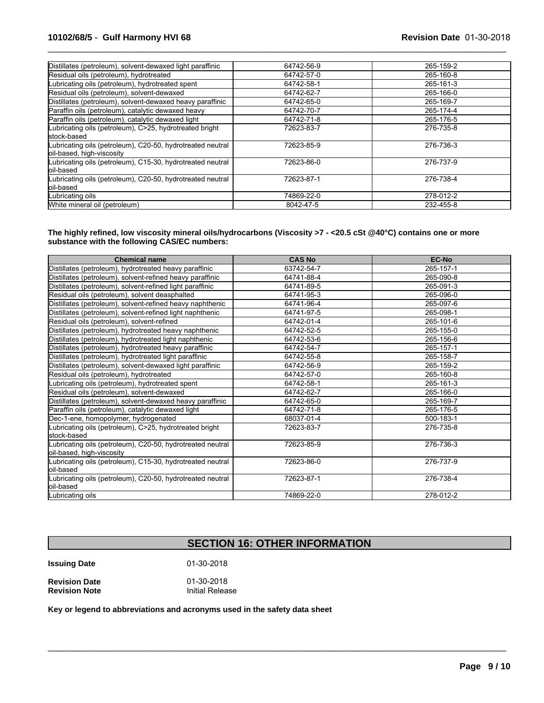# **10102/68/5** - **Gulf Harmony HVI 68 Revision Date** 01-30-2018

| Distillates (petroleum), solvent-dewaxed light paraffinic                               | 64742-56-9 | 265-159-2 |
|-----------------------------------------------------------------------------------------|------------|-----------|
| Residual oils (petroleum), hydrotreated                                                 | 64742-57-0 | 265-160-8 |
| Lubricating oils (petroleum), hydrotreated spent                                        | 64742-58-1 | 265-161-3 |
| Residual oils (petroleum), solvent-dewaxed                                              | 64742-62-7 | 265-166-0 |
| Distillates (petroleum), solvent-dewaxed heavy paraffinic                               | 64742-65-0 | 265-169-7 |
| Paraffin oils (petroleum), catalytic dewaxed heavy                                      | 64742-70-7 | 265-174-4 |
| Paraffin oils (petroleum), catalytic dewaxed light                                      | 64742-71-8 | 265-176-5 |
| Lubricating oils (petroleum), C>25, hydrotreated bright<br>stock-based                  | 72623-83-7 | 276-735-8 |
| Lubricating oils (petroleum), C20-50, hydrotreated neutral<br>oil-based, high-viscosity | 72623-85-9 | 276-736-3 |
| Lubricating oils (petroleum), C15-30, hydrotreated neutral<br>loil-based                | 72623-86-0 | 276-737-9 |
| Lubricating oils (petroleum), C20-50, hydrotreated neutral<br>loil-based                | 72623-87-1 | 276-738-4 |
| Lubricating oils                                                                        | 74869-22-0 | 278-012-2 |
| White mineral oil (petroleum)                                                           | 8042-47-5  | 232-455-8 |

 $\_$  ,  $\_$  ,  $\_$  ,  $\_$  ,  $\_$  ,  $\_$  ,  $\_$  ,  $\_$  ,  $\_$  ,  $\_$  ,  $\_$  ,  $\_$  ,  $\_$  ,  $\_$  ,  $\_$  ,  $\_$  ,  $\_$  ,  $\_$  ,  $\_$  ,  $\_$  ,  $\_$  ,  $\_$  ,  $\_$  ,  $\_$  ,  $\_$  ,  $\_$  ,  $\_$  ,  $\_$  ,  $\_$  ,  $\_$  ,  $\_$  ,  $\_$  ,  $\_$  ,  $\_$  ,  $\_$  ,  $\_$  ,  $\_$  ,

**The highly refined, low viscosity mineral oils/hydrocarbons (Viscosity >7 - <20.5 cSt @40°C) contains one or more substance with the following CAS/EC numbers:**

| <b>Chemical name</b>                                                                    | <b>CAS No</b> | <b>EC-No</b> |
|-----------------------------------------------------------------------------------------|---------------|--------------|
| Distillates (petroleum), hydrotreated heavy paraffinic                                  | 63742-54-7    | 265-157-1    |
| Distillates (petroleum), solvent-refined heavy paraffinic                               | 64741-88-4    | 265-090-8    |
| Distillates (petroleum), solvent-refined light paraffinic                               | 64741-89-5    | 265-091-3    |
| Residual oils (petroleum), solvent deasphalted                                          | 64741-95-3    | 265-096-0    |
| Distillates (petroleum), solvent-refined heavy naphthenic                               | 64741-96-4    | 265-097-6    |
| Distillates (petroleum), solvent-refined light naphthenic                               | 64741-97-5    | 265-098-1    |
| Residual oils (petroleum), solvent-refined                                              | 64742-01-4    | 265-101-6    |
| Distillates (petroleum), hydrotreated heavy naphthenic                                  | 64742-52-5    | 265-155-0    |
| Distillates (petroleum), hydrotreated light naphthenic                                  | 64742-53-6    | 265-156-6    |
| Distillates (petroleum), hydrotreated heavy paraffinic                                  | 64742-54-7    | 265-157-1    |
| Distillates (petroleum), hydrotreated light paraffinic                                  | 64742-55-8    | 265-158-7    |
| Distillates (petroleum), solvent-dewaxed light paraffinic                               | 64742-56-9    | 265-159-2    |
| Residual oils (petroleum), hydrotreated                                                 | 64742-57-0    | 265-160-8    |
| Lubricating oils (petroleum), hydrotreated spent                                        | 64742-58-1    | 265-161-3    |
| Residual oils (petroleum), solvent-dewaxed                                              | 64742-62-7    | 265-166-0    |
| Distillates (petroleum), solvent-dewaxed heavy paraffinic                               | 64742-65-0    | 265-169-7    |
| Paraffin oils (petroleum), catalytic dewaxed light                                      | 64742-71-8    | 265-176-5    |
| Dec-1-ene, homopolymer, hydrogenated                                                    | 68037-01-4    | 500-183-1    |
| ubricating oils (petroleum), C>25, hydrotreated bright<br>lstock-based                  | 72623-83-7    | 276-735-8    |
| Lubricating oils (petroleum), C20-50, hydrotreated neutral<br>oil-based, high-viscosity | 72623-85-9    | 276-736-3    |
| Lubricating oils (petroleum), C15-30, hydrotreated neutral<br>loil-based                | 72623-86-0    | 276-737-9    |
| Lubricating oils (petroleum), C20-50, hydrotreated neutral<br>loil-based                | 72623-87-1    | 276-738-4    |
| Lubricating oils                                                                        | 74869-22-0    | 278-012-2    |

# **SECTION 16: OTHER INFORMATION**

 $\mathcal{L}_\mathcal{L} = \{ \mathcal{L}_\mathcal{L} = \{ \mathcal{L}_\mathcal{L} = \{ \mathcal{L}_\mathcal{L} = \{ \mathcal{L}_\mathcal{L} = \{ \mathcal{L}_\mathcal{L} = \{ \mathcal{L}_\mathcal{L} = \{ \mathcal{L}_\mathcal{L} = \{ \mathcal{L}_\mathcal{L} = \{ \mathcal{L}_\mathcal{L} = \{ \mathcal{L}_\mathcal{L} = \{ \mathcal{L}_\mathcal{L} = \{ \mathcal{L}_\mathcal{L} = \{ \mathcal{L}_\mathcal{L} = \{ \mathcal{L}_\mathcal{$ 

**Issuing Date** 01-30-2018

**Revision Date Case 12 Control 1201-2018**<br> **Revision Note Case 12 Control 11** Initial Release **Revision Note** 

**Key or legend to abbreviations and acronyms used in the safety data sheet**